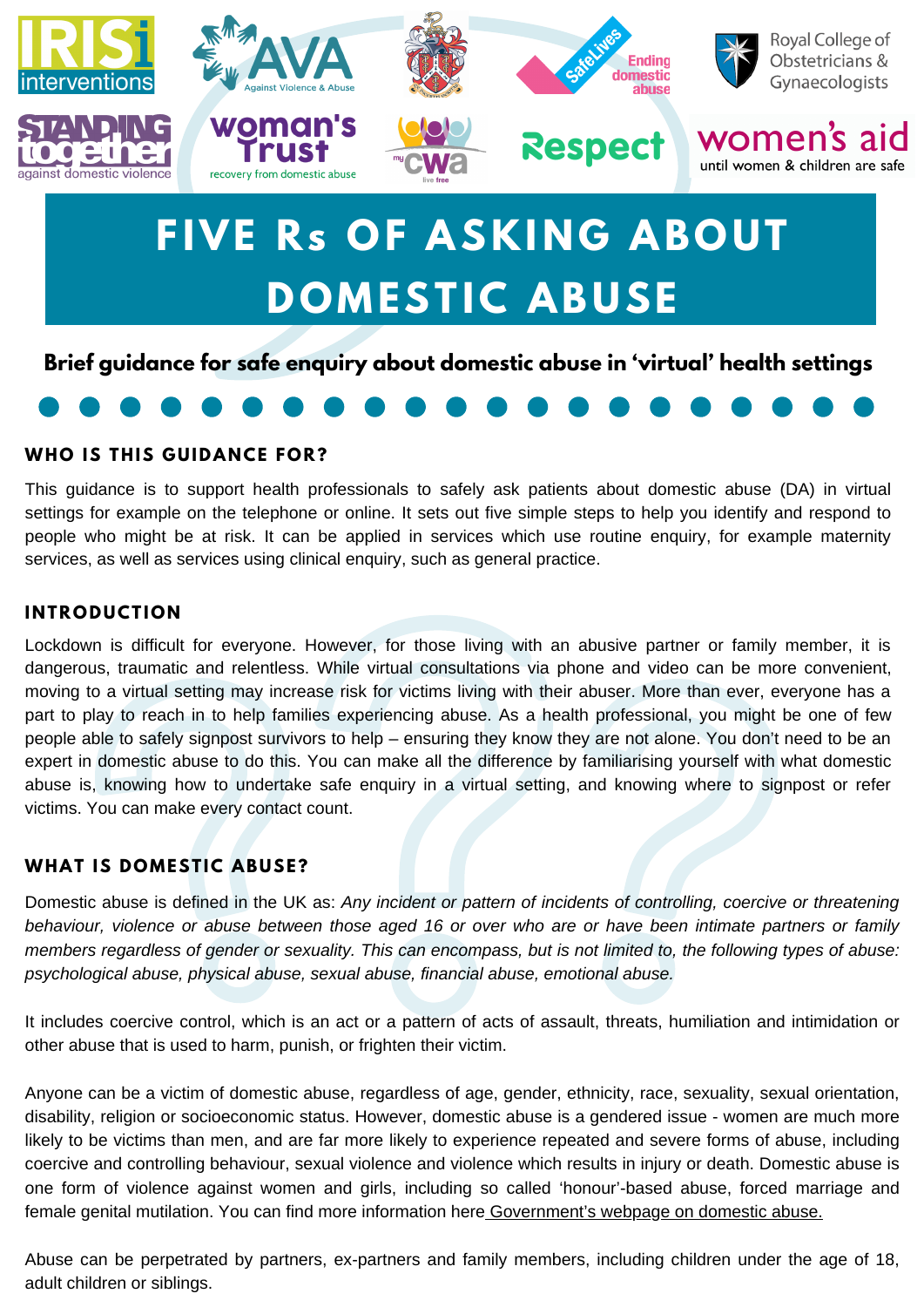

# **FIVE Rs OF ASKING ABOUT DOMESTIC ABUSE**

**Brief guidance for safe enquiry about domestic abuse in 'virtual' health settings**

# **WHO IS THIS G UIDA N CE FOR?**

This guidance is to support health professionals to safely ask patients about domestic abuse (DA) in virtual settings for example on the telephone or online. It sets out five simple steps to help you identify and respond to people who might be at risk. It can be applied in services which use routine enquiry, for example maternity services, as well as services using clinical enquiry, such as general practice.

# **I N TRODUCTION**

Lockdown is difficult for everyone. However, for those living with an abusive partner or family member, it is dangerous, traumatic and relentless. While virtual consultations via phone and video can be more convenient, moving to a virtual setting may increase risk for victims living with their abuser. More than ever, everyone has a part to play to reach in to help families experiencing abuse. As a health professional, you might be one of few people able to safely signpost survivors to help – ensuring they know they are not alone. You don't need to be an expert in domestic abuse to do this. You can make all the difference by familiarising yourself with what domestic abuse is, knowing how to undertake safe enquiry in a virtual setting, and knowing where to signpost or refer victims. You can make every contact count.

# **WHAT IS DOMESTIC ABUSE?**

Domestic abuse is defined in the UK as: *Any incident or pattern of incidents of controlling, coercive or threatening* behaviour, violence or abuse between those aged 16 or over who are or have been intimate partners or family members regardless of gender or sexuality. This can encompass, but is not limited to, the following types of abuse: *psychological abuse, physical abuse, sexual abuse, financial abuse, emotional abuse.*

It includes coercive control, which is an act or a pattern of acts of assault, threats, humiliation and intimidation or other abuse that is used to harm, punish, or frighten their victim.

Anyone can be a victim of domestic abuse, regardless of age, gender, ethnicity, race, sexuality, sexual orientation, disability, religion or socioeconomic status. However, domestic abuse is a gendered issue - women are much more likely to be victims than men, and are far more likely to experience repeated and severe forms of abuse, including coercive and controlling behaviour, sexual violence and violence which results in injury or death. Domestic abuse is one form of violence against women and girls, including so called 'honour'-based abuse, forced marriage and female genital mutilation. You can find more information here [Government's](https://www.gov.uk/guidance/domestic-abuse-how-to-get-help?gclid=EAIaIQobChMIn5_m-pT86AIVmuF3Ch0FcQTBEAAYASAAEgJdHvD_BwE&gclsrc=aw.ds) webpage on domestic abuse.

Abuse can be perpetrated by partners, ex-partners and family members, including children under the age of 18, adult children or siblings.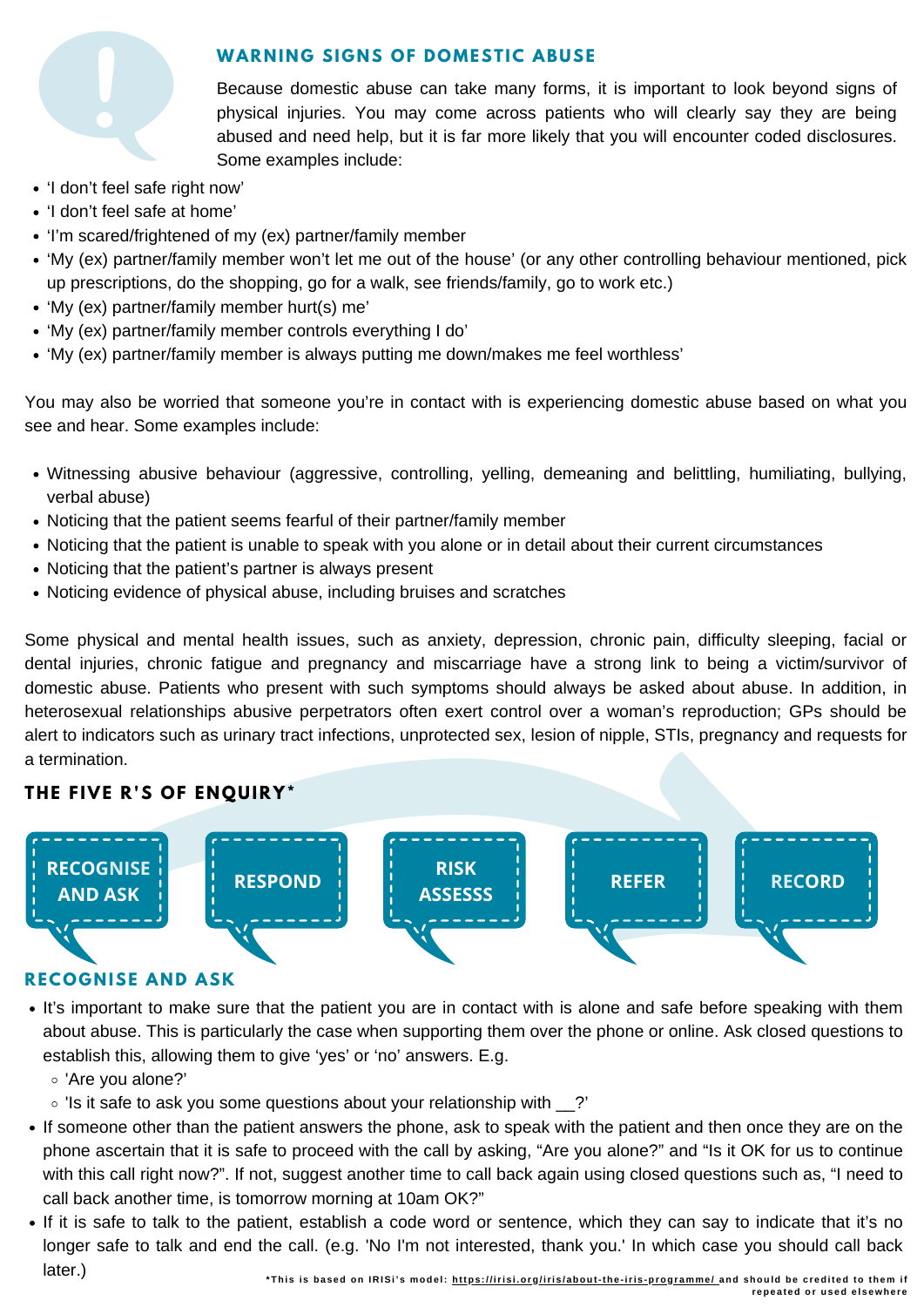

# **WAR N I N G SI G N S OF DOMESTIC ABUSE**

Because domestic abuse can take many forms, it is important to look beyond signs of physical injuries. You may come across patients who will clearly say they are being abused and need help, but it is far more likely that you will encounter coded disclosures. Some examples include:

- 'I don't feel safe right now'
- 'I don't feel safe at home'
- 'I'm scared/frightened of my (ex) partner/family member
- 'My (ex) partner/family member won't let me out of the house' (or any other controlling behaviour mentioned, pick up prescriptions, do the shopping, go for a walk, see friends/family, go to work etc.)
- 'My (ex) partner/family member hurt(s) me'
- 'My (ex) partner/family member controls everything Ido'
- 'My (ex) partner/family member is always putting me down/makes me feel worthless'

You may also be worried that someone you're in contact with is experiencing domestic abuse based on what you see and hear. Some examples include:

- Witnessing abusive behaviour (aggressive, controlling, yelling, demeaning and belittling, humiliating, bullying, verbal abuse)
- Noticing that the patient seems fearful of their partner/family member
- Noticing that the patient is unable to speak with you alone or in detail about their current circumstances
- Noticing that the patient's partner is always present
- Noticing evidence of physical abuse, including bruises and scratches

Some physical and mental health issues, such as anxiety, depression, chronic pain, difficulty sleeping, facial or dental injuries, chronic fatigue and pregnancy and miscarriage have a strong link to being a victim/survivor of domestic abuse. Patients who present with such symptoms should always be asked about abuse. In addition, in heterosexual relationships abusive perpetrators often exert control over a woman's reproduction; GPs should be alert to indicators such as urinary tract infections, unprotected sex, lesion of nipple, STIs, pregnancy and requests for a termination.

# **THE FIVE R'S OF E NQUIRY\***



### **RECOGNISE AND ASK**

- It's important to make sure that the patient you are in contact with is alone and safe before speaking with them about abuse. This is particularly the case when supporting them over the phone or online. Ask closed questions to establish this, allowing them to give 'yes' or 'no' answers. E.g.
	- 'Are you alone?'
	- Is it safe to ask you some questions about your relationship with ?'
- If someone other than the patient answers the phone, ask to speak with the patient and then once they are on the phone ascertain that it is safe to proceed with the call by asking, "Are you alone?" and "Is it OK for us to continue with this call right now?". If not, suggest another time to call back again using closed questions such as, "I need to call back another time, is tomorrow morning at 10am OK?"
- If it is safe to talk to the patient, establish a code word or sentence, which they can say to indicate that it's no longer safe to talk and end the call. (e.g. 'No I'm not interested, thank you.' In which case you should call back later.)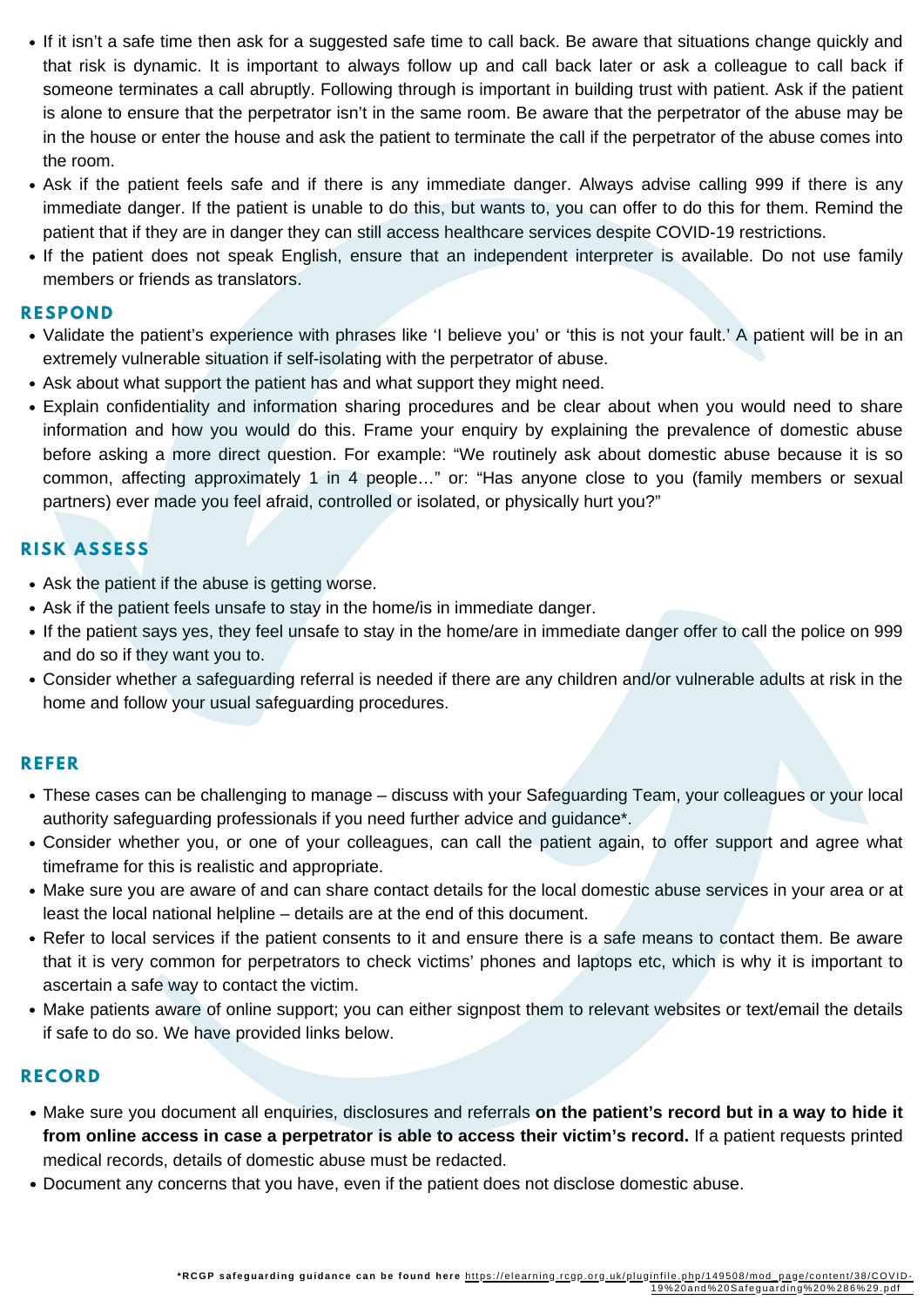- that risk is dynamic. It is important to always follow up and call back later or ask a colleague to call back if and here to a priminate it to important to anticipation up three can examinate the above conceagative can examin<br>Someone terminates a call abruptly. Following through is important in building trust with patient. Ask if the If it isn't a safe time then ask for a suggested safe time to call back. Be aware that situations change quickly and is alone to ensure that the perpetrator isn't in the same room. Be aware that the perpetrator of the abuse may be in the house or enter the house and ask the patient to terminate the call if the perpetrator of the abuse comes into the room.
- Ask if the patient feels safe and if there is any immediate danger. Always advise calling 999 if there is any immediate danger. If the patient is unable to do this, but wants to, you can offer to do this for them. Remind the patient that if they are in danger they can still access healthcare services despite COVID-19 restrictions.
- If the patient does not speak English, ensure that an independent interpreter is available. Do not use family members or friends as translators.

#### **RESPON D**

- Validate the patient's experience with phrases like 'I believe you' or 'this is not your fault.' A patient will be in an extremely vulnerable situation if self-isolating with the perpetrator of abuse.
- Ask about what support the patient has and what support they might need.
- Explain confidentiality and information sharing procedures and be clear about when you would need to share information and how you would do this. Frame your enquiry by explaining the prevalence of domestic abuse before asking a more direct question. For example: "We routinely ask about domestic abuse because it is so common, affecting approximately 1 in 4 people…" or: "Has anyone close to you (family members or sexual partners) ever made you feel afraid, controlled or isolated, or physically hurt you?"

# **RISK ASSESS**

- Ask the patient if the abuse is getting worse.
- Ask if the patient feels unsafe to stay in the home/is in immediate danger.
- If the patient says yes, they feel unsafe to stay in the home/are in immediate danger offer to call the police on 999 and do so if they want you to.
- Consider whether a safeguarding referral is needed if there are any children and/or vulnerable adults at risk in the home and follow your usual safeguarding procedures.

## **REFER**

- These cases can be challenging to manage discuss with your Safeguarding Team, your colleagues or your local authority safeguarding professionals if you need further advice and guidance\*.
- Consider whether you, or one of your colleagues, can call the patient again, to offer support and agree what timeframe for this is realistic and appropriate.
- Make sure you are aware of and can share contact details for the local domestic abuse services in your area or at least the local national helpline – details are at the end of this document.
- Refer to local services if the patient consents to it and ensure there is a safe means to contact them. Be aware that it is very common for perpetrators to check victims' phones and laptops etc, which is why it is important to ascertain a safe way to contact the victim.
- Make patients aware of online support; you can either signpost them to relevant websites or text/email the details if safe to do so. We have provided links below.

### **RECORD**

- Make sure you document all enquiries, disclosures and referrals **on the patient's record but in a way to hide it from online access in case a perpetrator is able to access their victim's record.** If a patient requests printed medical records, details of domestic abuse must be redacted.
- Document any concerns that you have, even if the patient does not disclose domestic abuse.